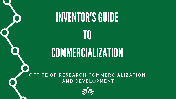

# COMMERCIALIZATION

OFFICE OF RESEARCH COMMERCIALIZATION AND DEVELOPMENT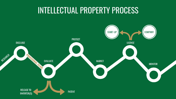### **INTELLECTUAL PROPERTY PROCESS**

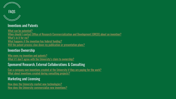

### FAQS

#### Inventions and Patents

[What can be patented?](#page-3-0) [When should I contact Office of Research](#page-4-0) Commercialization and Development [ORCD] about an invention? [What's in it for me](#page-5-0)? [What happens if the invention has federal funding?](#page-5-0) [Will the patent process slow down my publication or presentation plans?](#page-5-0)

#### Invention Ownership

[Who owns my invention and patents?](#page-6-0) What if I don't agree with the University's claim to ownership?

#### Sponsored Research, External Collaborations & Consulting

[Can a company own inventions created at the University if they are paying for the work?](#page-7-0)  [What about inventions created during consulting projects?](#page-7-0)

#### Marketing and Licensing

[How does the University market new technologies?](#page-8-0) [How does the University commercialize new inventions?](#page-8-0)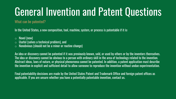# <span id="page-3-0"></span>General Invention and Patent Questions

What can be patented?

In the United States, a new composition, tool, machine, system, or process is patentable if it is:

- $\circ$  Novel (new)
- $\circ$  Useful (solves a technical problem), and
- $\circ$  Nonobvious (should not be a minor or routine change)

An idea or discovery cannot be patented if it was previously known, sold, or used by others or by the inventors themselves. The idea or discovery cannot be obvious to a person with ordinary skill in the area of technology related to the invention. Abstract ideas, laws of nature, or physical phenomena cannot be patented. In addition, a patent application must describe the invention in explicit and sufficient detail to allow someone to reproduce the invention without undue experimentation.

Final patentability decisions are made by the United States Patent and Trademark Office and foreign patent offices as applicable. If you are unsure whether you have a potentially patentable invention, contact us.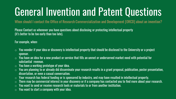# <span id="page-4-0"></span>General Invention and Patent Questions

When should I contact the Office of Research Commercialization and Development [ORCD] about an invention?

Please Contact us whenever you have questions about disclosing or protecting intellectual property (it's better to be too early than too late).

For example, when:

- $\circ$  You wonder if your idea or discovery is intellectual property that should be disclosed to the University or a project sponsor.
- $\circ$  You have an idea for a new product or service that fills an unmet or underserved market need with potential for substantial revenue.
- $\circ$  You have a working prototype of your idea.
- $\circ$  You are planning to or already did disseminate your research results in a grant proposal, publication, poster presentation, dissertation, or even a casual conversation.
- $\circ$  Your research has federal funding or is sponsored by industry, and may have resulted in intellectual property.
- There may be commercial interest in your discovery or if a company has contacted you to find more about your research.
- You want to send or receive research tools or materials to or from another institution.
- You want to start a company with your idea.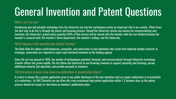### <span id="page-5-0"></span>General Invention and Patent Questions

#### What's in it for me?

Introducing new and valuable technology from the University out into the marketplace serves an important role in our society. Often times the best way to do this is through the patent and licensing process. Should the University receive any income for commercializing your invention, the University's patent policy specifies 50% of that income will be shared with the inventor with the rest divided between the inventor's research fund, the inventor's home department, the inventor's college, and the University.

#### What happens if the invention has federal funding?

The Bayh-Dole Act allows small businesses, nonprofits, and universities to own inventions that result from federally funded research. In exchange, universities are required to report each disclosed invention to the funding agency.

Since the act was passed in 1980, the number of technologies patented, licensed, and commercialized through University technology transfer offices has grown rapidly. The Act allows the University to use licensing revenues to support patenting and licensing, pursue additional research and education, and provide proceeds to inventors.

#### Will the patent process slow down my publication or presentation plans?

It is best to always file a patent application prior to any public disclosure of the new invention such as a paper publication or presentation at a conference. At UNC Charlotte we can often file a new provisional type patent application within 1-2 business days so the patent process should not impact or slow down an inventor's publication plans.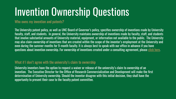### <span id="page-6-0"></span>Invention Ownership Questions

#### Who owns my invention and patents?

The University patent policy, as well as UNC Board of Governor's policy, specifies ownership of inventions made by University faculty, staff, and students. In general, the University maintains ownership of inventions made by faculty, staff, and students that involve substantial amounts of University material, equipment, or information not available to the public. The University may also claim ownership of inventions that are created within the scope of the inventor's employment at the University and even during the summer months for 9-month faculty. It is always best to speak with our office in advance if you have questions about invention ownership. For ownership of inventions created under a consulting agreement, please [click here](#page-7-0).

#### What if I don't agree with the university's claim to ownership

University inventors have the option to request a waiver or release of the university's claim to ownership of an invention. The Executive Director for the Office of Research Commercialization and Development will make the first determination of University ownership. Should the inventor disagree with this initial decision, they shall have the opportunity to present their case to the faculty patent committee.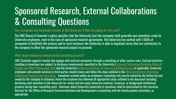### <span id="page-7-0"></span>Sponsored Research, External Collaborations & Consulting Questions

Can a company own inventions created at the University if they are paying for the work?

The UNC Board of Governor's policy specifies that the University (not the company) shall generally own inventions made by University employees, even in the case of sponsored research agreements. The University has worked with 1,000s of companies to facilitate this process and in most instances the University is able to negotiate terms that are satisfactory to the company to allow the sponsored research project to proceed.

#### What about inventions created during consulting projects?

UNC Charlotte supports faculty who engage with external companies through a consulting or other service roles. External activities [resulting in inventions are subject to disclosure requirements specified in the University's](https://legal.uncc.edu/policies/up-102.1) External Professional Activities Policy of Faculty and Other Professional Staff and the University's [Policy on Conflicts of Interest and Commitment](http://legal.uncc.edu/policies/up-101.24), as applicable. University employees who provide services to third parties should review and follow the steps outlined in the Recommendations Regarding Intellectual Property and Consulting. Inventions created within an employee's consulting role may be waived by the University and owned by the company in instances where the employee has followed all appropriate steps outlined in the document including disclosing each invention to the University for review and not using University material, resources, or background intellectual property during their consulting work. Decisions about University ownership of inventions shall be determined by the Executive Director for the Office of Research Commercialization and Development in consulting with the faculty patent committee, as appropriate.